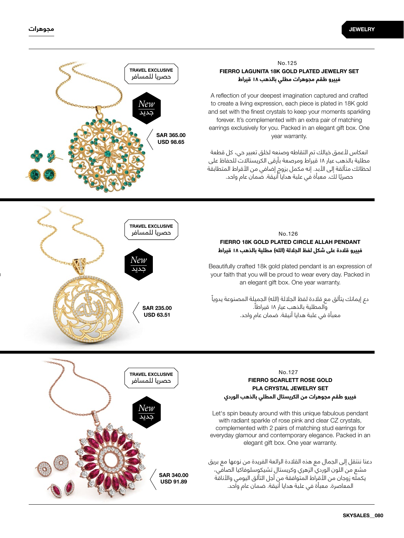

# SAR 235.00 63.51 USD *New* جديد حصريا للمسافر TRAVEL EXCLUSIVE

### **فييرو طقم مجوهرات مطلي بالذهب 18 قيراط FIERRO LAGUNITA 18K GOLD PLATED JEWELRY SET** No.125

A reflection of your deepest imagination captured and crafted to create a living expression, each piece is plated in 18K gold and set with the finest crystals to keep your moments sparkling forever. It's complemented with an extra pair of matching earrings exclusively for you. Packed in an elegant gift box. One vear warranty.

انعكاس لأعمق خيالك تم التقاطه وصنعه لخلق تعبير حي، كل قطعة مطلية بالذهب عيار 18 قيراط ومرصعة بأرقى الكريستاالت للحفاظ على لحظاتك متألقة إلى الأبد. إنه مكمل بزوج إضافي من الأقراط المتطابقة حصريً ا لك. معبأة في علبة هدايا أنيقة. ضمان عام واحد.

### **فييرو قالدة على شكل لفظ الجاللة )الله( مطلية بالذهب 18 قيراط FIERRO 18K GOLD PLATED CIRCLE ALLAH PENDANT** No.126

Beautifully crafted 18k gold plated pendant is an expression of your faith that you will be proud to wear every day. Packed in an elegant gift box. One year warranty.

دع إيمانك يتألق مع قلادة لفظ الجلالة (الله) الجميلة المصنوعة يدوياً والمطلية بالذهب عيار 18 ً قيراطا. معبأة في علبة هدايا أنيقة. ضمان عام واحد.



# **فييرو طقم مجوهرات من الكريستال المطلي بالذهب الوردي FIERRO SCARLETT ROSE GOLD PLA CRYSTAL JEWELRY SET** No.127

Let's spin beauty around with this unique fabulous pendant with radiant sparkle of rose pink and clear CZ crystals, complemented with 2 pairs of matching stud earrings for everyday glamour and contemporary elegance. Packed in an elegant gift box. One year warranty.

دعنا ننتقل إلى الجمال مع هذه القالدة الرائعة الفريدة من نوعها مع بريق مشع من اللون الوردي الزهري وكريستال تشيكوسلوفاكيا الصافي، يكملّه زوجان من الأقراط المتوافقة من أجل التألق اليومي والأناقة المعاصرة. معبأة في علبة هدايا أنيقة. ضمان عام واحد.